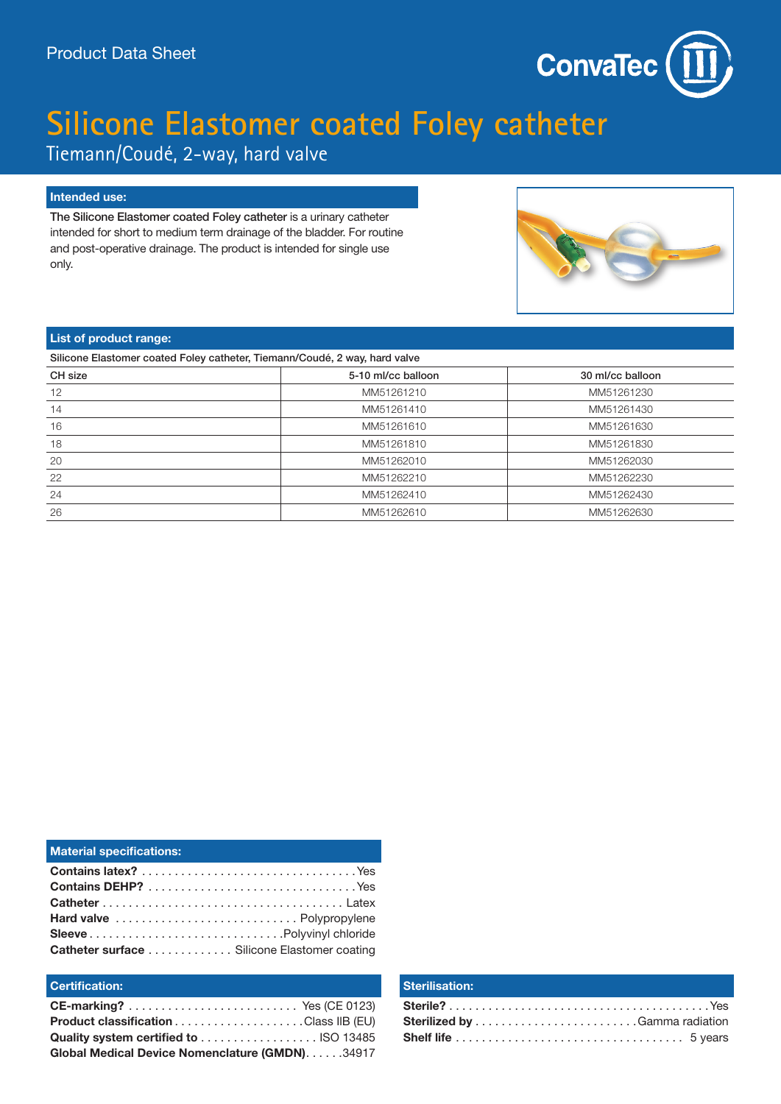

# **Silicone Elastomer coated Foley catheter**

Tiemann/Coudé, 2-way, hard valve

# **Intended use:**

The Silicone Elastomer coated Foley catheter is a urinary catheter intended for short to medium term drainage of the bladder. For routine and post-operative drainage. The product is intended for single use only.



## **List of product range:**

| Silicone Elastomer coated Foley catheter, Tiemann/Coudé, 2 way, hard valve |                    |                  |  |  |  |  |
|----------------------------------------------------------------------------|--------------------|------------------|--|--|--|--|
| CH size                                                                    | 5-10 ml/cc balloon | 30 ml/cc balloon |  |  |  |  |
| 12                                                                         | MM51261210         | MM51261230       |  |  |  |  |
| 14                                                                         | MM51261410         | MM51261430       |  |  |  |  |
| 16                                                                         | MM51261610         | MM51261630       |  |  |  |  |
| 18                                                                         | MM51261810         | MM51261830       |  |  |  |  |
| 20                                                                         | MM51262010         | MM51262030       |  |  |  |  |
| 22                                                                         | MM51262210         | MM51262230       |  |  |  |  |
| 24                                                                         | MM51262410         | MM51262430       |  |  |  |  |
| 26                                                                         | MM51262610         | MM51262630       |  |  |  |  |

| <b>Material specifications:</b>             |
|---------------------------------------------|
|                                             |
|                                             |
|                                             |
|                                             |
|                                             |
| Catheter surface Silicone Elastomer coating |

# **Certification:**

| Global Medical Device Nomenclature (GMDN). 34917 |  |
|--------------------------------------------------|--|

#### **Sterilisation:**